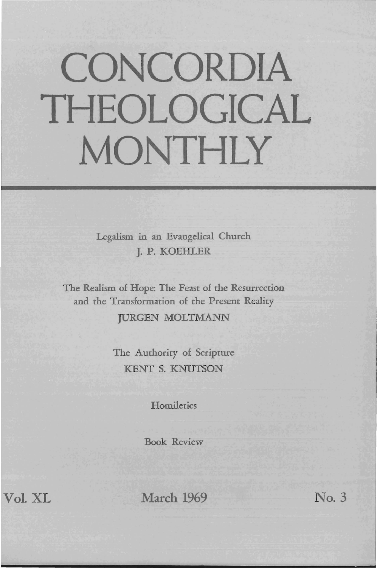## **CONCORDIA THEOLOGICAL MONTHLY**

Legalism in an Evangelical Church J. P. KOEHLER

The Realism of Hope: The Feast of the Resurrection and the Transformation of the Present Reality **JURGEN MOLTMANN** 

> The Authority of Scripture KENT S. KNUTSON

> > **Homiletics**

Book Review

Vol. XL

March 1969

No.3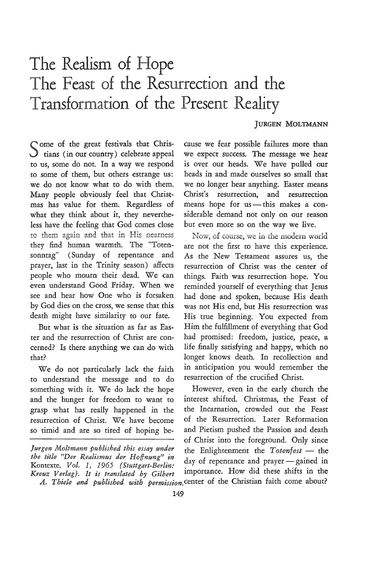## **The Realism of Hope The Feast of the Resurrection and the Transformation of the Present Reality**

## JURGEN MOLTMANN

Come of the great festivals that Chris- $\bigcup$  tians (in our country) celebrate appeal to us, some do not. In a way we respond to some of them, but others estrange us: we do not know what to do with them. Many people obviously feel that Christmas has value for them. Regardless of what they think about it, they nevertheless have the feeling that God comes close to them again and that in His nearness they find human warmth. The "Totensonntag" (Sunday of repentance and prayer, last in the Trinity season) affects people who mourn their dead. We can even understand Good Friday. When we see and hear how One who is forsaken by God dies on the cross, we sense that this death might have similarity to our fate.

But what is the situation as far as Easter and the resurrection of Christ are concerned? Is there anything we can do with that?

We do not particularly lack the faith to understand the message and to do something with it. We do lack the hope and the hunger for freedom to want to grasp what has really happened in the resurrection of Christ. We have become so timid and are so tired of hoping be-

*the title "Der Realismus der Hoffnung" in* 

cause we fear possible failures more than we expect success. The message we hear is over our heads. We have pulled our heads in and made ourselves so small that we no longer hear anything. Easter means Christ's resurrection, and resurrection means hope for us-this makes a considerable demand not only on our reason but even more so on the way we live.

Now, of course, we in the modern world are not the first to have this experience. As the New Testament assures us, the resurrection of Christ was the center of things. Faith was resurrection hope. You reminded yourself of everything that Jesus had done and spoken, because His death was not His end, but His resurrection was His true beginning. You expected from Him the fulfillment of everything that God had promised: freedom, justice, peace, a life finally satisfying and happy, which no longer knows death. In recollection and in anticipation you would remember the resurrection of the crucified Christ.

However, even in the early church the interest shifted. Christmas, the Feast of the Incarnation, crowded out the Feast of the Resurrection. Later Reformation and Pietism pushed the Passion and death of Christ into the foreground. Only since *Jurgen Moltmann published this essay under* the Enlightenment the *Totenfest* - the grasp what has really happened in the the incarnation, crowded out the reast<br>resurrection of Christ. We have become of the Resurrection. Later Reformation<br>so timid and are so tired of hoping be-<br>and Pietism pushed the Pass Kontexte, Vol. 1, 1965 *{Stuttgart-Berlin:* day of repentance and prayer - gained in<br>*Kreuz Verlag}*. It is translated by Gilbert importance. How did these shifts in the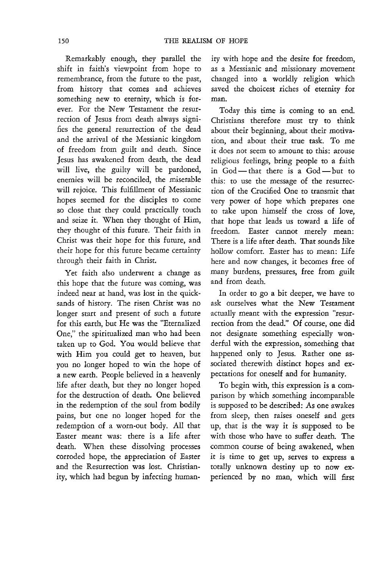Remarkably enough, they parallel the shift in faith's viewpoint from hope to remembrance, from the future to the past, from history that comes and achieves something new to eternity, which is forever. For the New Testament the resurrection of Jesus from death always signifies the general resurrection of the dead and the arrival of the Messianic kingdom of freedom from guilt and death. Since Jesus has awakened from death, the dead will live, the guilty will be pardoned, enemies will be reconciled, the miserable will rejoice. This fulfillment of Messianic hopes seemed for the disciples to come so close that they could practically touch and seize it. When they thought of Him, they thought of this future. Their faith in Christ was their hope for this future, and their hope for this future became certainty through their faith in Christ.

Yet faith also underwent a change as this hope that the future was coming, was indeed near at hand, was lost in the quicksands of history. The risen Christ was no longer start and present of such a future for this earth, but He was the "Eternalized One," the spiritualized man who had been taken up to God. You would believe that with Him you could get to heaven, but you no longer hoped to win the hope of a new earth. People believed in a heavenly life after death, but they no longer hoped for the destruction of death. One believed in the redemption of the soul from bodily pains, but one no longer hoped for the redemption of a worn-out body. All that Easter meant was: there is a life after death. When these dissolving processes corroded hope, the appreciation of Easter and the Resurrection was lost. Christianity, which had begun by infecting human-

ity with hope and the desire for freedom, as a Messianic and missionary movement changed into a worldly religion which saved the choicest riches of eternity for man.

Today this time is coming to an end. Christians therefore must try to think about their beginning, about their motivation, and about their true task. To me it does not seem to amount to this: arouse religious feelings, bring people to a faith in God - that there is a God - but to this: to use the message of the resurrection of the Crucified One to transmit that very power of hope which prepares one to take upon himself the cross of love, that hope that leads us toward a life of freedom. Easter cannot merely mean: There is a life after death. That sounds like hollow comfort. Easter has to mean: Life here and now changes, it becomes free of many burdens, pressures, free from guilt and from death.

In order to go a bit deeper, we have to ask ourselves what the New Testament actually meant with the expression "resurrection from the dead." Of course, one did not designate something especially wonderful with the expression, something that happened only to Jesus. Rather one associated therewith distinct hopes and expectations for oneself and for humanity.

To begin with, this expression is a comparison by which something incomparable is supposed to be described: As one awakes from sleep, then raises oneself and gets up, that is the way it is supposed to be with those who have to suffer death. The common course of being awakened, when it is time to get up, serves to express a totally unknown destiny up to now experienced by no man, which will first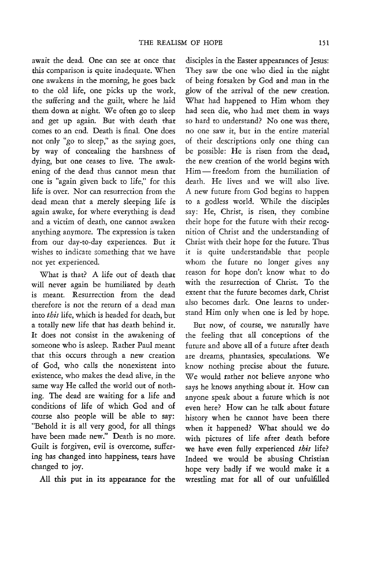await the dead. One can see at once that this comparison is quite inadequate. When one awakens in the morning, he goes back to the old life, one picks up the work, the suffering and the guilt, where he laid them down at night. We often go to sleep and get up again. But with death that comes to an end. Death is final. One does not only "go to sleep," as the saying goes, by way of concealing the harshness of dying, but one ceases to live. The awakening of the dead thus cannot mean that one is "again given back to life," for this life is over. Nor can resurrection from the dead mean that a merely sleeping life is again awake, for where everything is dead and a victim of death, one cannot awaken anything anymore. The expression is taken from our day-to-day experiences. But it wishes to indicate something that we have not yet experienced.

What is that? A life out of death that will never again be humiliated by death is meant. Resurrection from the dead therefore is not the return of a dead man into *this* life, which is headed for death, but a totally new life that has death behind it. It does not consist in the awakening of someone who is asleep. Rather Paul meant that this occurs through a new creation of God, who calls the nonexistent into existence, who makes the dead alive, in the same way He called the world out of nothing. The dead are waiting for a life and conditions of life of which God and of course also people will be able to say: "Behold it is all very good, for all things have been made new." Death is no more. Guilt is forgiven, evil is overcome, suffering has changed into happiness, tears have changed to joy.

All this put in its appearance for the

disciples in the Easter appearances of Jesus: They saw the one who died in the night of being forsaken by God and man in the glow of the arrival of the new creation. What had happened to Him whom they had seen die, who had met them in ways so hard to understand? No one was there, no one saw it, but in the entire material of their descriptions only one thing can be possible: He is risen from the dead, the new creation of the world begins with Him-freedom from the humiliation of death. He lives and we will also live. A new future from God begins to happen to a godless world. While the disciples say: He, Christ, is risen, they combine their hope for the future with their recognition of Christ and the understanding of Christ with their hope for the future. Thus it is quite understandable that people whom the future no longer gives any reason for hope don't know what to do with the resurrection of Christ. To the extent that the future becomes dark, Christ also becomes dark. One learns to understand Him only when one is led by hope.

But now, of course, we naturally have the feeling that all conceptions of the future and above all of a future after death are dreams, phantasies, speculations. We know nothing precise about the future. We would rather not believe anyone who says he knows anything about it. How can anyone speak about a future which is not even here? How can he talk about future history when he cannot have been there when it happened? What should we do with pictures of life after death before we have even fully experienced *this* life? Indeed we would be abusing Christian hope very badly if we would make it a wrestling mat for all of our unfulfilled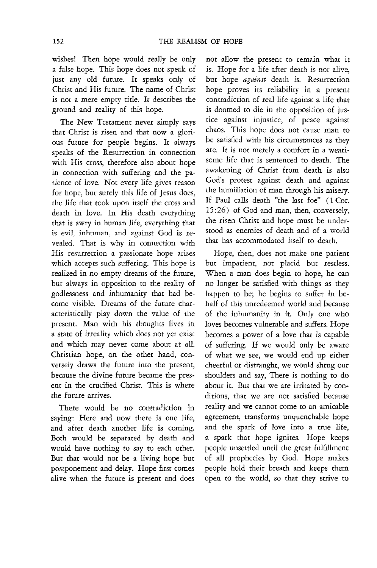wishes! Then hope would really be only a false hope. This hope does not speak of just any old future. It speaks only of Christ and His future. The name of Christ is not a mere empty title. It describes the ground and reality of this hope.

The New Testament never simply says that Christ is risen and that now a glori-0us future for people begins. It always speaks of the Resurrection in connection with His cross, therefore also about hope in connection with suffering and the patience of love. Not every life gives reason for hope, but surely this life of Jesus does, the life that took upon itself the cross and death in love. In His death everything that is awry in human life, everything that is evil, inhuman, and against God is revealed. That is why in connection with His resurrection a passionate hope arises which accepts such suffering. This hope is realized in no empty dreams of the future, but always in opposition to the reality of godlessness and inhumanity that had become visible. Dreams of the future characteristically play down the value of the present. Man with his thoughts lives in a state of irreality which does not yet exist and which may never come about at all. Christian hope, on the other hand, conversely draws the future into the present, because the divine future became the present in the crucified Christ. This is where the future arrives.

There would be no contradiction in saying: Here and now there is one life, and after death another life is coming. Both would be separated by death and would have nothing to say to each other. But that would not be a living hope but postponement and delay. Hope first comes alive when the future is present and does

not allow the present to remain what it is. Hope for a life after death is not alive, but hope *against* death is. Resurrection hope proves its reliability in a present contradiction of real life against a life that is doomed to die in the opposition of justice against in justice, of peace against chaos. This hope does not cause man to be satisfied with his circumstances as they are. It is not merely a comfort in a wearisome life that is sentenced to death. The awakening of Christ from death is also God's protest against death and against the humiliation of man through his misery. If Paul calls death "the last foe" (1 Cor. 15:26) of God and man, then, conversely, the risen Christ and hope must be understood as enemies of death and of a world that has accommodated itself to death.

Hope, then, does not make one patient but impatient, nor placid bur restless. When a man does begin to hope, he can no longer be satisfied with things as they happen to be; he begins to suffer in behalf of this unredeemed world and because of the inhumanity in it. Only one who loves becomes vulnerable and suffers. Hope becomes a power of a love that is capable of suffering. If we would only be aware of what we see, we would end up either cheerful or distraught, we would shrug our shoulders and say, There is nothing to do about it. But that we are irritated by conditions, that we are not satisfied because reality and we cannot come to an amicable agreement, transforms unquenchable hope and the spark of love into a true life, a spark that hope ignites. Hope keeps people unsettled until the great fulfillment of all prophecies by God. Hope makes people hold their breath and keeps them open to the world, so that they strive to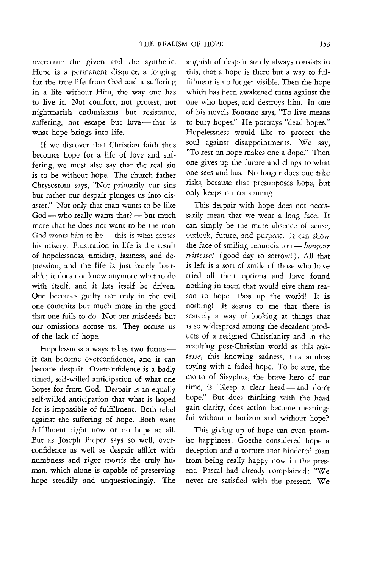overcome the given and the synthetic. Hope is a permanent disquiet, a longing for the true life from God and a suffering in a life without Him, the way one has to live it. Not comfort, not protest, not nightmarish enthusiasms but resistance, suffering, not escape but love - that is what hope brings into life.

If we discover that Christian faith thus becomes hope for a life of love and suffering, we must also say that the real sin is to be without hope. The church father Chrysostom says, "Not primarily our sins but rather our despair plunges us into disaster." Not only that man wants to be like  $God - who really wants that? - but much$ more that he does not want to be the man God wants him to be  $-$  this is what causes his misery. Frustration in life is the result of hopelessness, timidity, laziness, and de~ pression, and the life is just barely bearable; it does not know anymore what to do with itself, and it lets itself be driven. One becomes guilty not only in the evil one commits but much more in the good that one fails to do. Not our misdeeds but our omissions accuse us. They accuse us of the lack of hope.

Hopelessness always takes two formsit can become overconfidence, and it can become despair. Overconfidence is a badly timed, self-willed anticipation of what one hopes for from God. Despair is an equally self-willed anticipation that what is hoped for is impossible of fulfillment. Both rebel against the suffering of hope. Both want fulfillment right now or no hope at all. But as Joseph Pieper says so well, overconfidence as well as despair afflict with numbness and rigor mortis the truly human, which alone is capable of preserving hope steadily and unquestioningly. The

anguish of despair surely always consists in this, that a hope is there but a way to fulfillment is no longer visible. Then the hope which has been awakened turns against the one who hopes, and destroys him. In one of his novels Fontane says, "To live means to bury hopes." He portrays "dead hopes." Hopelessness would like to protect the soul against disappointments. We say, "To rest on hope makes one a dope." Then one gives up the future and clings to what one sees and has. No longer does one take risks, because that presupposes hope, but only keeps on consuming.

This despair with hope does not necessarily mean that we wear a long face. It can simply be the mute absence of sense, outlook, future, and purpose. It can show the face of smiling renunciation - *bonjour tristesse!* (good day to sorrow!). All that is left is a sort of smile of those who have tried all their options and have found nothing in them that would give them reason to hope. Pass up the world! It is nothing! It seems to me that there is scarcely a way of looking at things that is so widespread among the decadent products of a resigned Christianity and in the resulting post-Christian world as this *tristesse,* this knowing sadness, this aimless toying with a faded hope. To be sure, the motto of Sisyphus, the brave hero of our time, is "Keep a clear head - and don't hope." But does thinking with the head gain clarity, does action become meaningful without a horizon and without hope?

This giving up of hope can even promise happiness: Goethe considered hope a deception and a torture that hindered man from being really happy now in the present. Pascal had already complained: "We never are satisfied with the present. We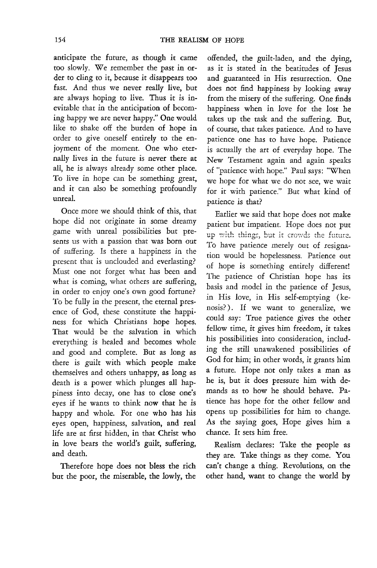anticipate the future, as though it came too slowly. We remember the past in order to cling to it, because it disappears too fast. And thus we never really live, but are always hoping to live. Thus it is inevitable that in the anticipation of becoming happy we are never happy." One would like to shake off the burden of hope in order to give oneself entirely to the enjoyment of the moment. One who eternally lives in the future is never there at all, he is always already some other place. To live in hope can be something great, and it can also be something profoundly unreal.

Once more we should think of this, that hope did not originate in some dreamy game with unreal possibilities but presents us with a passion that was born out of suffering. Is there a happiness in the present that is unclouded and everlasting? Must one not forget what has been and what is coming, what others are suffering, in order to enjoy one's own good fortune? To be fully in the present, the eternal presence of God, these constitute the happiness for which Christians hope hopes. That would be the salvation in which everything is healed and becomes whole and good and complete. But as long as there is guilt with which people make themselves and others unhappy, as long as death is a power which plunges all happiness into decay, one has to close one's eyes if he wants to think now that he is happy and whole. For one who has his eyes open, happiness, salvation, and real life are at first hidden, in that Christ who in love bears the world's guilt, suffering, and death.

Therefore hope does not bless the rich but the poor, the miserable, the lowly, the

offended, the guilt-laden, and the dying, as it is stated in the beatitudes of Jesus and guaranteed in His resurrection. One does not find happiness by looking away from the misery of the suffering. One finds happiness when in love for the lost he takes up the task and the suffering. But, of course, that takes patience. And to have patience one has to have hope. Patience is actually the art of everyday hope. The New Testament again and again speaks of "patience with hope." Paul says: "When we hope for what we do not see, we wait for it with patience." But what kind of patience is that?

Earlier we said that hope does not make patient but impatient. Hope does not put up with things, but it crowds the future. To have patience merely out of resignation would be hopelessness. Patience out of hope is something entirely different! The patience of Christian hope has its basis and model in the patience of Jesus, in His love, in His self-emptying (kenosis?). If we want to generalize, we could say: True patience gives the other fellow time, it gives him freedom, it takes his possibilities into consideration, including the still unawakened possibilities of God for him; in other words, it grants him a future. Hope not only takes a man as he is, but it does pressure him with demands as to how he should behave. Patience has hope for the other fellow and opens up possibilities for him to change. As the saying goes, Hope gives him a chance. It sets him free.

Realism declares: Take the people as they are. Take things as they come. You can't change a thing. Revolutions, on the other hand, want to change the world by